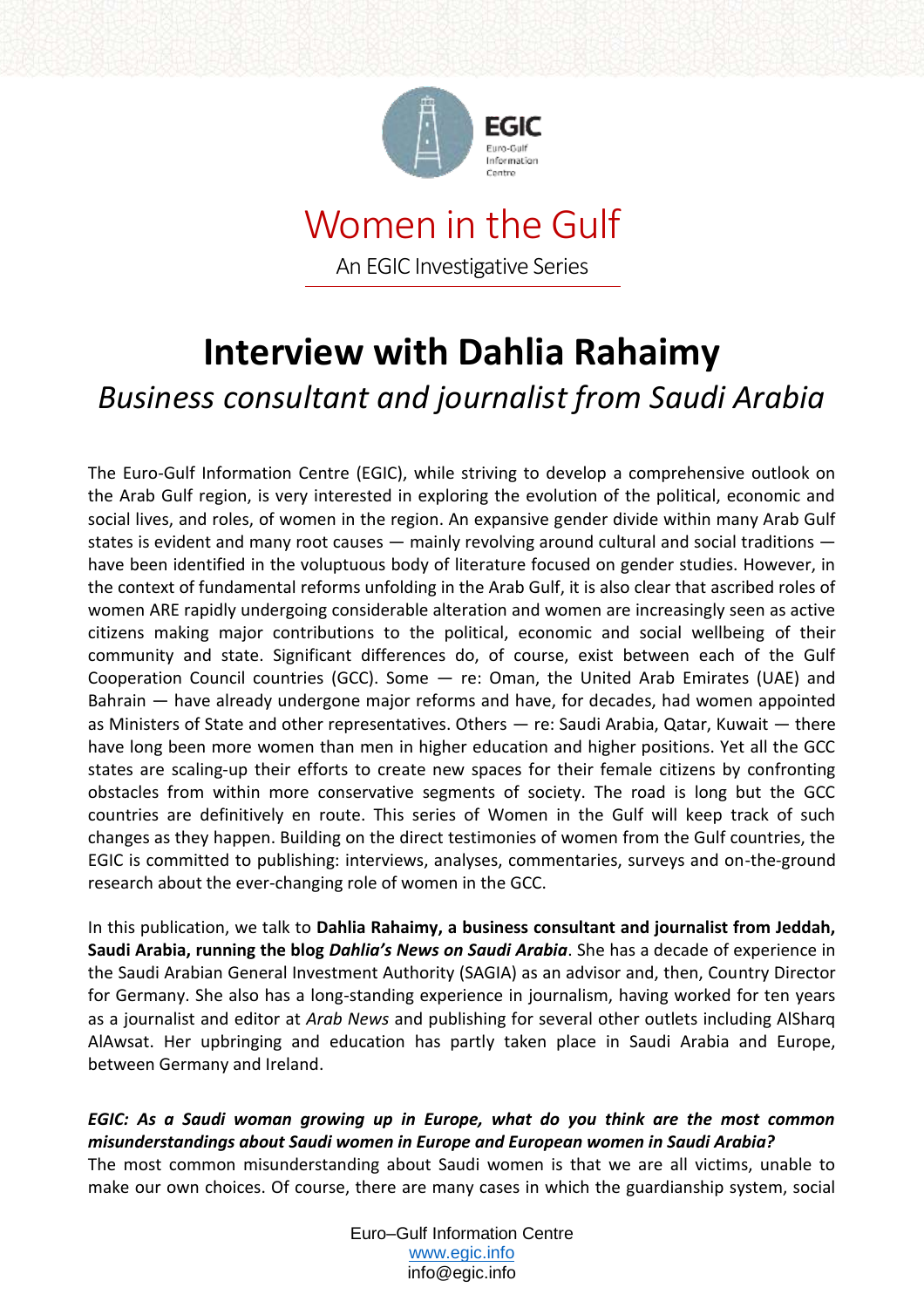

# Women in the Gulf An EGIC Investigative Series

# **Interview with Dahlia Rahaimy** *Business consultant and journalist from Saudi Arabia*

The Euro-Gulf Information Centre (EGIC), while striving to develop a comprehensive outlook on the Arab Gulf region, is very interested in exploring the evolution of the political, economic and social lives, and roles, of women in the region. An expansive gender divide within many Arab Gulf states is evident and many root causes — mainly revolving around cultural and social traditions have been identified in the voluptuous body of literature focused on gender studies. However, in the context of fundamental reforms unfolding in the Arab Gulf, it is also clear that ascribed roles of women ARE rapidly undergoing considerable alteration and women are increasingly seen as active citizens making major contributions to the political, economic and social wellbeing of their community and state. Significant differences do, of course, exist between each of the Gulf Cooperation Council countries (GCC). Some — re: Oman, the United Arab Emirates (UAE) and Bahrain — have already undergone major reforms and have, for decades, had women appointed as Ministers of State and other representatives. Others — re: Saudi Arabia, Qatar, Kuwait — there have long been more women than men in higher education and higher positions. Yet all the GCC states are scaling-up their efforts to create new spaces for their female citizens by confronting obstacles from within more conservative segments of society. The road is long but the GCC countries are definitively en route. This series of Women in the Gulf will keep track of such changes as they happen. Building on the direct testimonies of women from the Gulf countries, the EGIC is committed to publishing: interviews, analyses, commentaries, surveys and on-the-ground research about the ever-changing role of women in the GCC.

In this publication, we talk to **Dahlia Rahaimy, a business consultant and journalist from Jeddah, Saudi Arabia, running the blog** *Dahlia's News on Saudi Arabia*. She has a decade of experience in the Saudi Arabian General Investment Authority (SAGIA) as an advisor and, then, Country Director for Germany. She also has a long-standing experience in journalism, having worked for ten years as a journalist and editor at *Arab News* and publishing for several other outlets including AlSharq AlAwsat. Her upbringing and education has partly taken place in Saudi Arabia and Europe, between Germany and Ireland.

*EGIC: As a Saudi woman growing up in Europe, what do you think are the most common misunderstandings about Saudi women in Europe and European women in Saudi Arabia?* The most common misunderstanding about Saudi women is that we are all victims, unable to make our own choices. Of course, there are many cases in which the guardianship system, social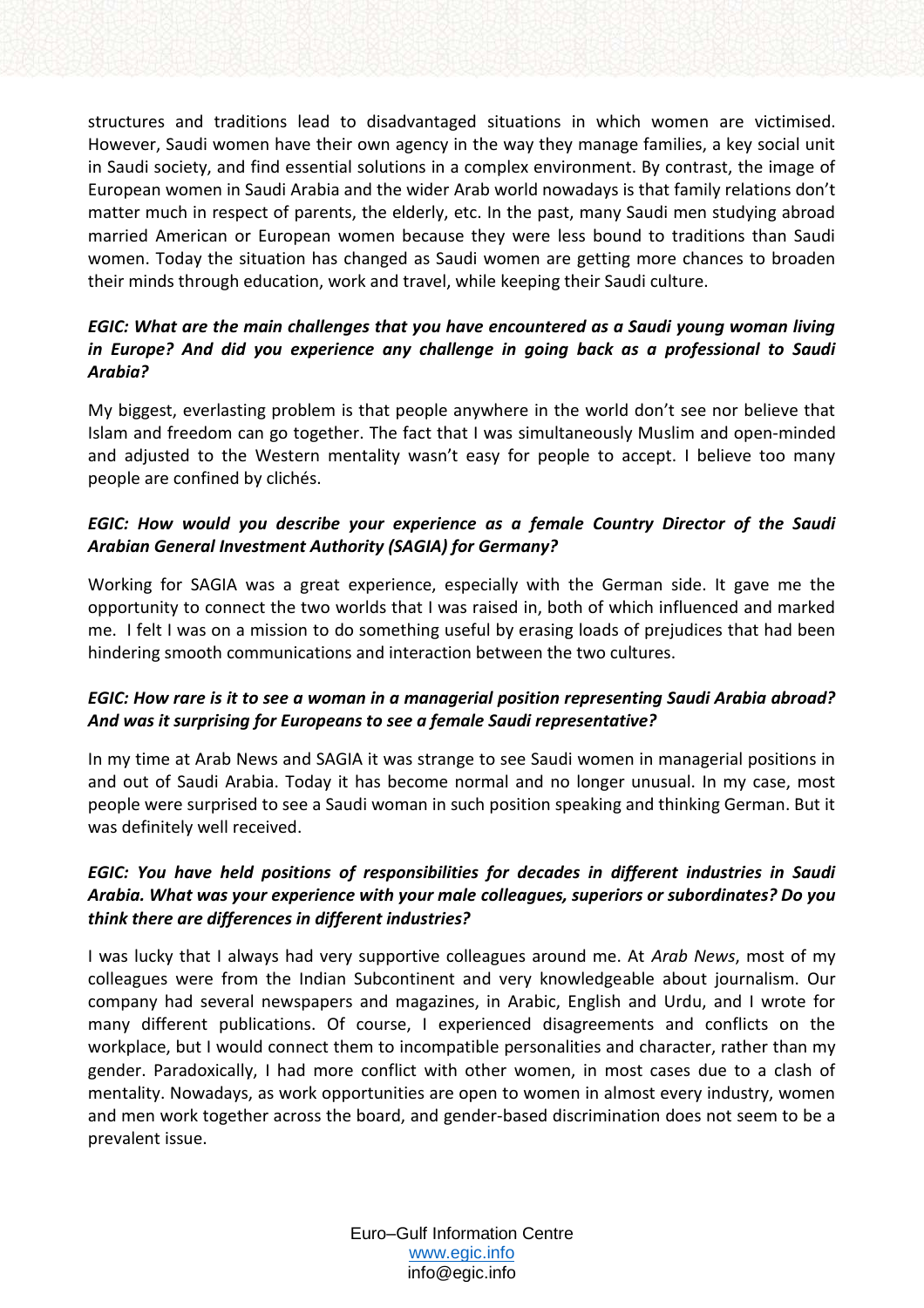structures and traditions lead to disadvantaged situations in which women are victimised. However, Saudi women have their own agency in the way they manage families, a key social unit in Saudi society, and find essential solutions in a complex environment. By contrast, the image of European women in Saudi Arabia and the wider Arab world nowadays is that family relations don't matter much in respect of parents, the elderly, etc. In the past, many Saudi men studying abroad married American or European women because they were less bound to traditions than Saudi women. Today the situation has changed as Saudi women are getting more chances to broaden their minds through education, work and travel, while keeping their Saudi culture.

# *EGIC: What are the main challenges that you have encountered as a Saudi young woman living in Europe? And did you experience any challenge in going back as a professional to Saudi Arabia?*

My biggest, everlasting problem is that people anywhere in the world don't see nor believe that Islam and freedom can go together. The fact that I was simultaneously Muslim and open-minded and adjusted to the Western mentality wasn't easy for people to accept. I believe too many people are confined by clichés.

# *EGIC: How would you describe your experience as a female Country Director of the Saudi Arabian General Investment Authority (SAGIA) for Germany?*

Working for SAGIA was a great experience, especially with the German side. It gave me the opportunity to connect the two worlds that I was raised in, both of which influenced and marked me. I felt I was on a mission to do something useful by erasing loads of prejudices that had been hindering smooth communications and interaction between the two cultures.

#### *EGIC: How rare is it to see a woman in a managerial position representing Saudi Arabia abroad? And was it surprising for Europeans to see a female Saudi representative?*

In my time at Arab News and SAGIA it was strange to see Saudi women in managerial positions in and out of Saudi Arabia. Today it has become normal and no longer unusual. In my case, most people were surprised to see a Saudi woman in such position speaking and thinking German. But it was definitely well received.

# *EGIC: You have held positions of responsibilities for decades in different industries in Saudi Arabia. What was your experience with your male colleagues, superiors or subordinates? Do you think there are differences in different industries?*

I was lucky that I always had very supportive colleagues around me. At *Arab News*, most of my colleagues were from the Indian Subcontinent and very knowledgeable about journalism. Our company had several newspapers and magazines, in Arabic, English and Urdu, and I wrote for many different publications. Of course, I experienced disagreements and conflicts on the workplace, but I would connect them to incompatible personalities and character, rather than my gender. Paradoxically, I had more conflict with other women, in most cases due to a clash of mentality. Nowadays, as work opportunities are open to women in almost every industry, women and men work together across the board, and gender-based discrimination does not seem to be a prevalent issue.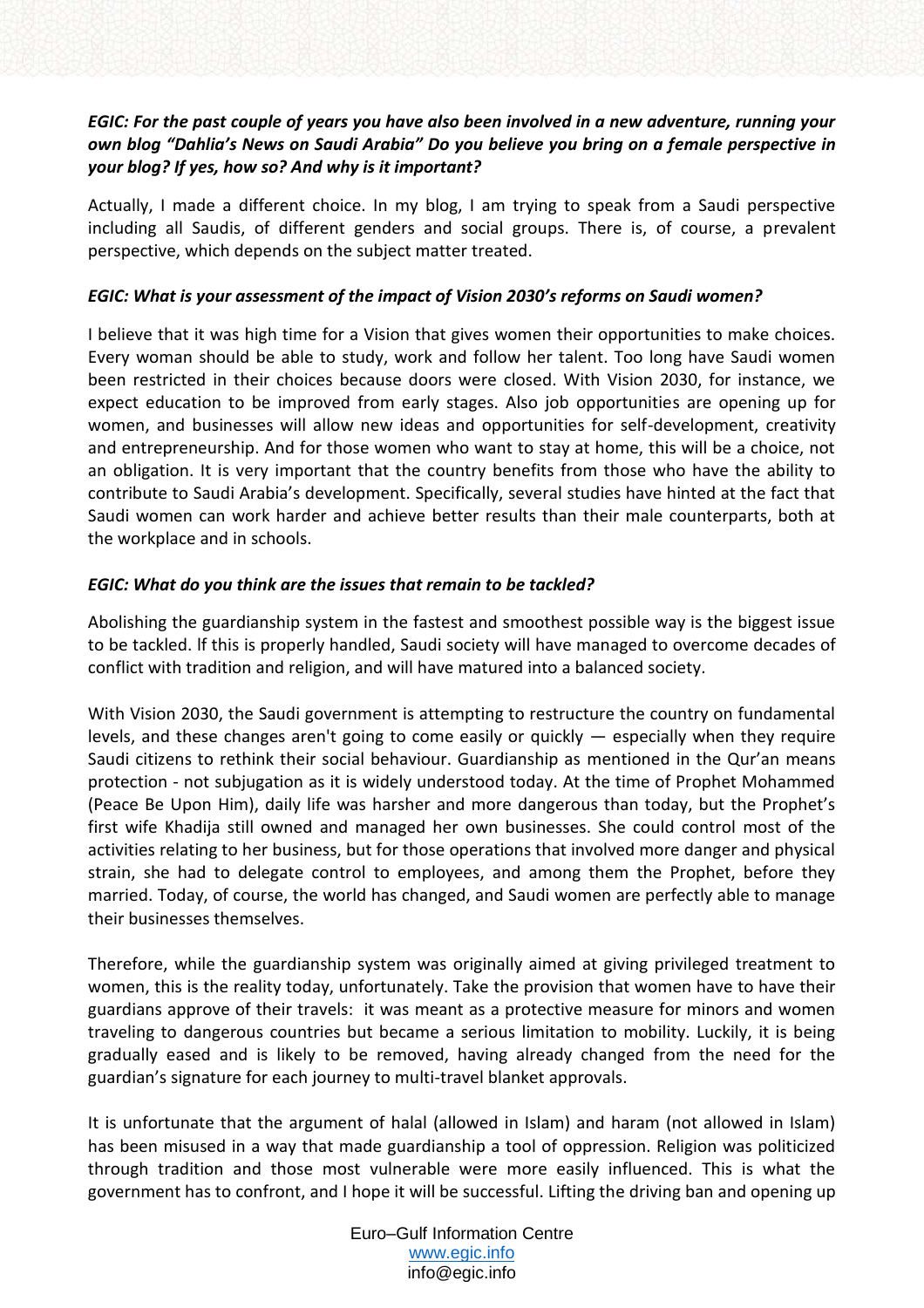# *EGIC: For the past couple of years you have also been involved in a new adventure, running your own blog "Dahlia's News on Saudi Arabia" Do you believe you bring on a female perspective in your blog? If yes, how so? And why is it important?*

Actually, I made a different choice. In my blog, I am trying to speak from a Saudi perspective including all Saudis, of different genders and social groups. There is, of course, a prevalent perspective, which depends on the subject matter treated.

#### *EGIC: What is your assessment of the impact of Vision 2030's reforms on Saudi women?*

I believe that it was high time for a Vision that gives women their opportunities to make choices. Every woman should be able to study, work and follow her talent. Too long have Saudi women been restricted in their choices because doors were closed. With Vision 2030, for instance, we expect education to be improved from early stages. Also job opportunities are opening up for women, and businesses will allow new ideas and opportunities for self-development, creativity and entrepreneurship. And for those women who want to stay at home, this will be a choice, not an obligation. It is very important that the country benefits from those who have the ability to contribute to Saudi Arabia's development. Specifically, several studies have hinted at the fact that Saudi women can work harder and achieve better results than their male counterparts, both at the workplace and in schools.

#### *EGIC: What do you think are the issues that remain to be tackled?*

Abolishing the guardianship system in the fastest and smoothest possible way is the biggest issue to be tackled. lf this is properly handled, Saudi society will have managed to overcome decades of conflict with tradition and religion, and will have matured into a balanced society.

With Vision 2030, the Saudi government is attempting to restructure the country on fundamental levels, and these changes aren't going to come easily or quickly  $-$  especially when they require Saudi citizens to rethink their social behaviour. Guardianship as mentioned in the Qur'an means protection - not subjugation as it is widely understood today. At the time of Prophet Mohammed (Peace Be Upon Him), daily life was harsher and more dangerous than today, but the Prophet's first wife Khadija still owned and managed her own businesses. She could control most of the activities relating to her business, but for those operations that involved more danger and physical strain, she had to delegate control to employees, and among them the Prophet, before they married. Today, of course, the world has changed, and Saudi women are perfectly able to manage their businesses themselves.

Therefore, while the guardianship system was originally aimed at giving privileged treatment to women, this is the reality today, unfortunately. Take the provision that women have to have their guardians approve of their travels: it was meant as a protective measure for minors and women traveling to dangerous countries but became a serious limitation to mobility. Luckily, it is being gradually eased and is likely to be removed, having already changed from the need for the guardian's signature for each journey to multi-travel blanket approvals.

It is unfortunate that the argument of halal (allowed in Islam) and haram (not allowed in Islam) has been misused in a way that made guardianship a tool of oppression. Religion was politicized through tradition and those most vulnerable were more easily influenced. This is what the government has to confront, and I hope it will be successful. Lifting the driving ban and opening up